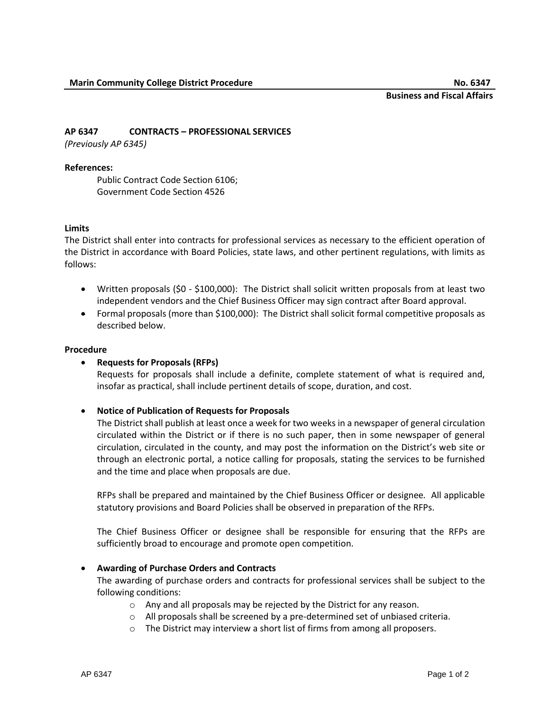# **AP 6347 CONTRACTS – PROFESSIONAL SERVICES**

*(Previously AP 6345)*

### **References:**

Public Contract Code Section 6106; Government Code Section 4526

#### **Limits**

The District shall enter into contracts for professional services as necessary to the efficient operation of the District in accordance with Board Policies, state laws, and other pertinent regulations, with limits as follows:

- Written proposals (\$0 \$100,000): The District shall solicit written proposals from at least two independent vendors and the Chief Business Officer may sign contract after Board approval.
- Formal proposals (more than \$100,000): The District shall solicit formal competitive proposals as described below.

#### **Procedure**

## **Requests for Proposals (RFPs)**

Requests for proposals shall include a definite, complete statement of what is required and, insofar as practical, shall include pertinent details of scope, duration, and cost.

## **Notice of Publication of Requests for Proposals**

The District shall publish at least once a week for two weeks in a newspaper of general circulation circulated within the District or if there is no such paper, then in some newspaper of general circulation, circulated in the county, and may post the information on the District's web site or through an electronic portal, a notice calling for proposals, stating the services to be furnished and the time and place when proposals are due.

RFPs shall be prepared and maintained by the Chief Business Officer or designee*.* All applicable statutory provisions and Board Policies shall be observed in preparation of the RFPs.

The Chief Business Officer or designee shall be responsible for ensuring that the RFPs are sufficiently broad to encourage and promote open competition.

## **Awarding of Purchase Orders and Contracts**

The awarding of purchase orders and contracts for professional services shall be subject to the following conditions:

- o Any and all proposals may be rejected by the District for any reason.
- o All proposals shall be screened by a pre-determined set of unbiased criteria.
- o The District may interview a short list of firms from among all proposers.